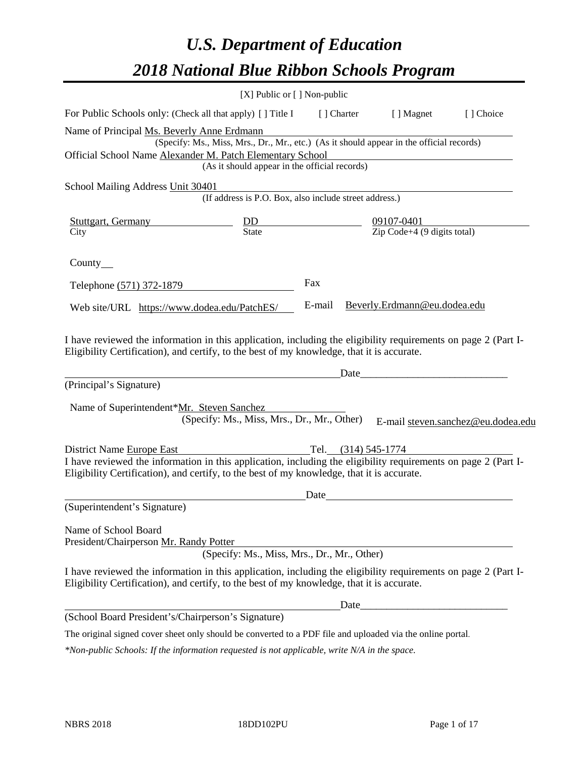# *U.S. Department of Education 2018 National Blue Ribbon Schools Program*

|                                                                                                                                                                                                              | [X] Public or [] Non-public                                                                                                               |             |                                                          |                                    |
|--------------------------------------------------------------------------------------------------------------------------------------------------------------------------------------------------------------|-------------------------------------------------------------------------------------------------------------------------------------------|-------------|----------------------------------------------------------|------------------------------------|
| For Public Schools only: (Check all that apply) [ ] Title I                                                                                                                                                  |                                                                                                                                           | [ ] Charter | [ ] Magnet                                               | [] Choice                          |
| Name of Principal Ms. Beverly Anne Erdmann<br>Official School Name Alexander M. Patch Elementary School                                                                                                      | (Specify: Ms., Miss, Mrs., Dr., Mr., etc.) (As it should appear in the official records)<br>(As it should appear in the official records) |             |                                                          |                                    |
| School Mailing Address Unit 30401                                                                                                                                                                            |                                                                                                                                           |             |                                                          |                                    |
|                                                                                                                                                                                                              | (If address is P.O. Box, also include street address.)                                                                                    |             |                                                          |                                    |
| <b>Stuttgart, Germany</b><br>City                                                                                                                                                                            | $rac{DD}{State}$                                                                                                                          |             | 09107-0401<br>$\overline{Zip Code} + 4 (9 digits total)$ |                                    |
| County $\_\_$                                                                                                                                                                                                |                                                                                                                                           |             |                                                          |                                    |
| Telephone (571) 372-1879                                                                                                                                                                                     |                                                                                                                                           | Fax         |                                                          |                                    |
| Web site/URL https://www.dodea.edu/PatchES/                                                                                                                                                                  |                                                                                                                                           | E-mail      | Beverly.Erdmann@eu.dodea.edu                             |                                    |
| I have reviewed the information in this application, including the eligibility requirements on page 2 (Part I-<br>Eligibility Certification), and certify, to the best of my knowledge, that it is accurate. |                                                                                                                                           |             |                                                          |                                    |
| (Principal's Signature)                                                                                                                                                                                      |                                                                                                                                           |             | Date                                                     |                                    |
| Name of Superintendent*Mr. Steven Sanchez                                                                                                                                                                    | (Specify: Ms., Miss, Mrs., Dr., Mr., Other)                                                                                               |             |                                                          | E-mail steven.sanchez@eu.dodea.edu |
| District Name Europe East                                                                                                                                                                                    |                                                                                                                                           |             | Tel. (314) 545-1774                                      |                                    |
| I have reviewed the information in this application, including the eligibility requirements on page 2 (Part I-<br>Eligibility Certification), and certify, to the best of my knowledge, that it is accurate. |                                                                                                                                           |             |                                                          |                                    |
|                                                                                                                                                                                                              |                                                                                                                                           | Date        |                                                          |                                    |
| (Superintendent's Signature)                                                                                                                                                                                 |                                                                                                                                           |             |                                                          |                                    |
| Name of School Board<br>President/Chairperson Mr. Randy Potter                                                                                                                                               | (Specify: Ms., Miss, Mrs., Dr., Mr., Other)                                                                                               |             |                                                          |                                    |
| I have reviewed the information in this application, including the eligibility requirements on page 2 (Part I-<br>Eligibility Certification), and certify, to the best of my knowledge, that it is accurate. |                                                                                                                                           |             |                                                          |                                    |
|                                                                                                                                                                                                              |                                                                                                                                           |             |                                                          |                                    |
| (School Board President's/Chairperson's Signature)                                                                                                                                                           |                                                                                                                                           |             |                                                          |                                    |
| The original signed cover sheet only should be converted to a PDF file and uploaded via the online portal.                                                                                                   |                                                                                                                                           |             |                                                          |                                    |

*\*Non-public Schools: If the information requested is not applicable, write N/A in the space.*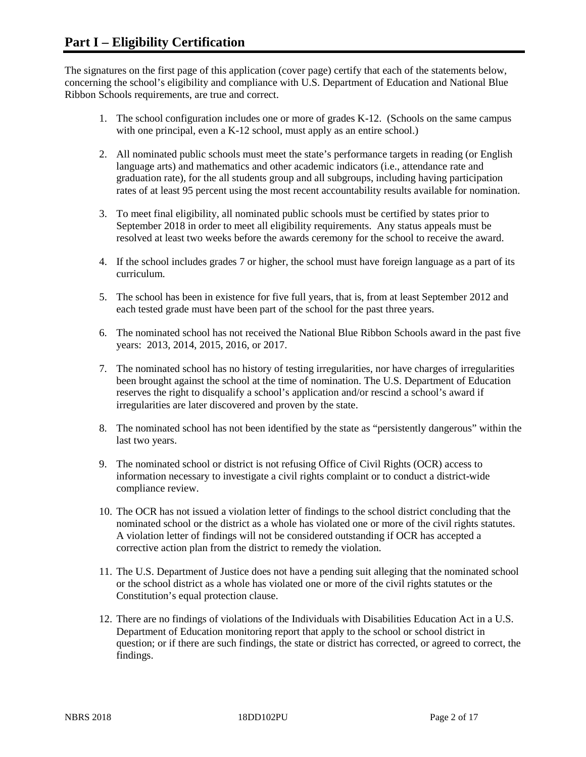The signatures on the first page of this application (cover page) certify that each of the statements below, concerning the school's eligibility and compliance with U.S. Department of Education and National Blue Ribbon Schools requirements, are true and correct.

- 1. The school configuration includes one or more of grades K-12. (Schools on the same campus with one principal, even a K-12 school, must apply as an entire school.)
- 2. All nominated public schools must meet the state's performance targets in reading (or English language arts) and mathematics and other academic indicators (i.e., attendance rate and graduation rate), for the all students group and all subgroups, including having participation rates of at least 95 percent using the most recent accountability results available for nomination.
- 3. To meet final eligibility, all nominated public schools must be certified by states prior to September 2018 in order to meet all eligibility requirements. Any status appeals must be resolved at least two weeks before the awards ceremony for the school to receive the award.
- 4. If the school includes grades 7 or higher, the school must have foreign language as a part of its curriculum.
- 5. The school has been in existence for five full years, that is, from at least September 2012 and each tested grade must have been part of the school for the past three years.
- 6. The nominated school has not received the National Blue Ribbon Schools award in the past five years: 2013, 2014, 2015, 2016, or 2017.
- 7. The nominated school has no history of testing irregularities, nor have charges of irregularities been brought against the school at the time of nomination. The U.S. Department of Education reserves the right to disqualify a school's application and/or rescind a school's award if irregularities are later discovered and proven by the state.
- 8. The nominated school has not been identified by the state as "persistently dangerous" within the last two years.
- 9. The nominated school or district is not refusing Office of Civil Rights (OCR) access to information necessary to investigate a civil rights complaint or to conduct a district-wide compliance review.
- 10. The OCR has not issued a violation letter of findings to the school district concluding that the nominated school or the district as a whole has violated one or more of the civil rights statutes. A violation letter of findings will not be considered outstanding if OCR has accepted a corrective action plan from the district to remedy the violation.
- 11. The U.S. Department of Justice does not have a pending suit alleging that the nominated school or the school district as a whole has violated one or more of the civil rights statutes or the Constitution's equal protection clause.
- 12. There are no findings of violations of the Individuals with Disabilities Education Act in a U.S. Department of Education monitoring report that apply to the school or school district in question; or if there are such findings, the state or district has corrected, or agreed to correct, the findings.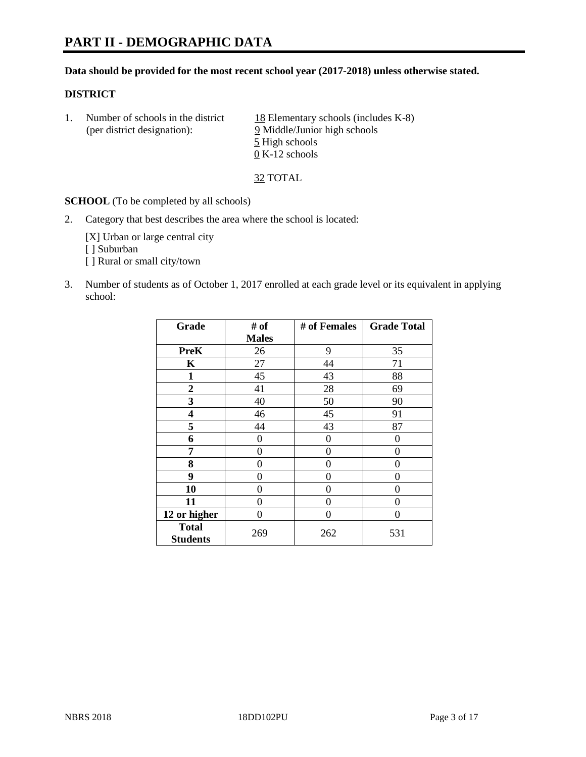#### **Data should be provided for the most recent school year (2017-2018) unless otherwise stated.**

## **DISTRICT**

1. Number of schools in the district  $18$  Elementary schools (includes K-8) (per district designation): 9 Middle/Junior high schools 5 High schools 0 K-12 schools

32 TOTAL

**SCHOOL** (To be completed by all schools)

2. Category that best describes the area where the school is located:

[X] Urban or large central city [ ] Suburban [] Rural or small city/town

3. Number of students as of October 1, 2017 enrolled at each grade level or its equivalent in applying school:

| Grade                           | # of         | # of Females | <b>Grade Total</b> |
|---------------------------------|--------------|--------------|--------------------|
|                                 | <b>Males</b> |              |                    |
| <b>PreK</b>                     | 26           | 9            | 35                 |
| K                               | 27           | 44           | 71                 |
| $\mathbf{1}$                    | 45           | 43           | 88                 |
| 2                               | 41           | 28           | 69                 |
| 3                               | 40           | 50           | 90                 |
| 4                               | 46           | 45           | 91                 |
| 5                               | 44           | 43           | 87                 |
| 6                               | 0            | 0            | 0                  |
| 7                               | 0            | 0            | 0                  |
| 8                               | 0            | 0            | 0                  |
| 9                               | 0            | 0            | 0                  |
| 10                              | 0            | 0            | 0                  |
| 11                              | 0            | 0            | 0                  |
| 12 or higher                    | 0            | 0            | 0                  |
| <b>Total</b><br><b>Students</b> | 269          | 262          | 531                |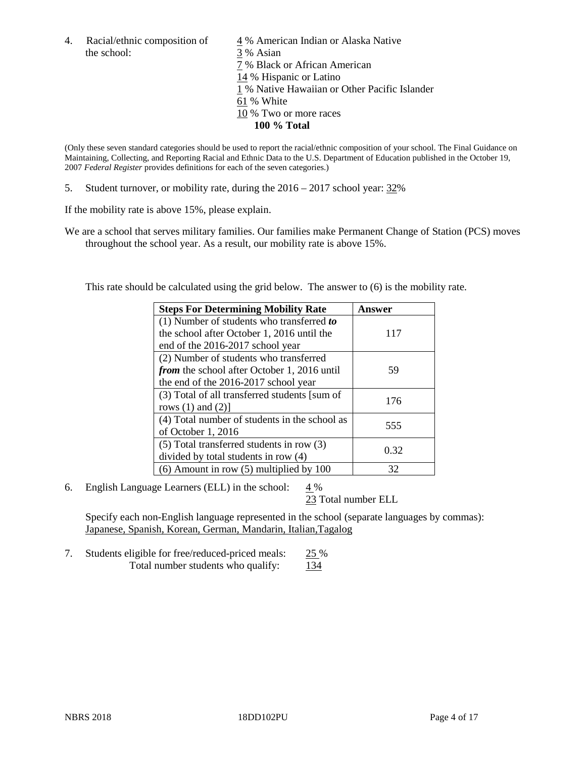the school: 3 % Asian

4. Racial/ethnic composition of  $\frac{4}{9}$ % American Indian or Alaska Native 7 % Black or African American 14 % Hispanic or Latino 1 % Native Hawaiian or Other Pacific Islander 61 % White 10 % Two or more races **100 % Total**

(Only these seven standard categories should be used to report the racial/ethnic composition of your school. The Final Guidance on Maintaining, Collecting, and Reporting Racial and Ethnic Data to the U.S. Department of Education published in the October 19, 2007 *Federal Register* provides definitions for each of the seven categories.)

5. Student turnover, or mobility rate, during the 2016 – 2017 school year: 32%

If the mobility rate is above 15%, please explain.

We are a school that serves military families. Our families make Permanent Change of Station (PCS) moves throughout the school year. As a result, our mobility rate is above 15%.

This rate should be calculated using the grid below. The answer to (6) is the mobility rate.

| <b>Steps For Determining Mobility Rate</b>         | Answer |
|----------------------------------------------------|--------|
| $(1)$ Number of students who transferred to        |        |
| the school after October 1, 2016 until the         | 117    |
| end of the 2016-2017 school year                   |        |
| (2) Number of students who transferred             |        |
| <i>from</i> the school after October 1, 2016 until | 59     |
| the end of the 2016-2017 school year               |        |
| (3) Total of all transferred students [sum of      | 176    |
| rows $(1)$ and $(2)$ ]                             |        |
| (4) Total number of students in the school as      | 555    |
| of October 1, 2016                                 |        |
| $(5)$ Total transferred students in row $(3)$      |        |
| divided by total students in row (4)               | 0.32   |
| $(6)$ Amount in row $(5)$ multiplied by 100        | 32     |

6. English Language Learners (ELL) in the school: 4 %

23 Total number ELL

Specify each non-English language represented in the school (separate languages by commas): Japanese, Spanish, Korean, German, Mandarin, Italian,Tagalog

7. Students eligible for free/reduced-priced meals: 25 % Total number students who qualify: 134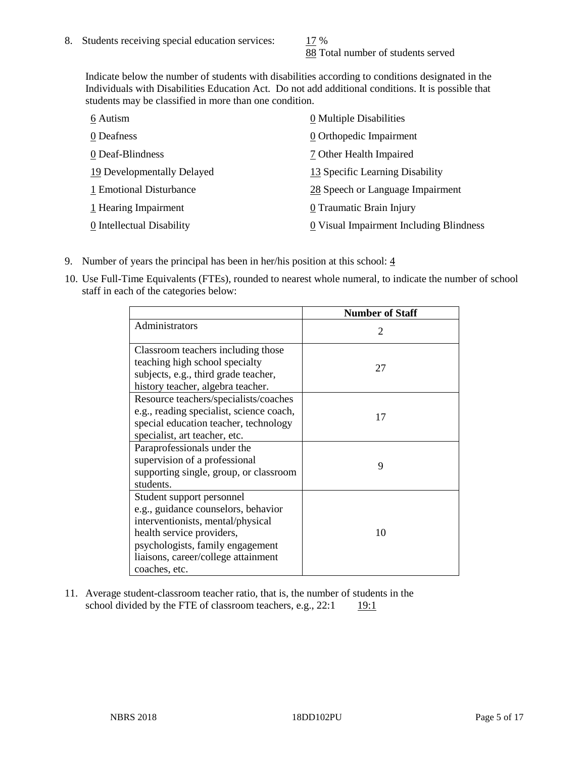88 Total number of students served

Indicate below the number of students with disabilities according to conditions designated in the Individuals with Disabilities Education Act. Do not add additional conditions. It is possible that students may be classified in more than one condition.

| 6 Autism                   | 0 Multiple Disabilities                 |
|----------------------------|-----------------------------------------|
| 0 Deafness                 | 0 Orthopedic Impairment                 |
| 0 Deaf-Blindness           | 7 Other Health Impaired                 |
| 19 Developmentally Delayed | 13 Specific Learning Disability         |
| 1 Emotional Disturbance    | 28 Speech or Language Impairment        |
| 1 Hearing Impairment       | 0 Traumatic Brain Injury                |
| 0 Intellectual Disability  | 0 Visual Impairment Including Blindness |

- 9. Number of years the principal has been in her/his position at this school:  $\frac{4}{3}$
- 10. Use Full-Time Equivalents (FTEs), rounded to nearest whole numeral, to indicate the number of school staff in each of the categories below:

|                                                                                                                                                                                                                                | <b>Number of Staff</b>      |
|--------------------------------------------------------------------------------------------------------------------------------------------------------------------------------------------------------------------------------|-----------------------------|
| Administrators                                                                                                                                                                                                                 | $\mathcal{D}_{\mathcal{L}}$ |
| Classroom teachers including those<br>teaching high school specialty<br>subjects, e.g., third grade teacher,<br>history teacher, algebra teacher.                                                                              | 27                          |
| Resource teachers/specialists/coaches<br>e.g., reading specialist, science coach,<br>special education teacher, technology<br>specialist, art teacher, etc.                                                                    | 17                          |
| Paraprofessionals under the<br>supervision of a professional<br>supporting single, group, or classroom<br>students.                                                                                                            | 9                           |
| Student support personnel<br>e.g., guidance counselors, behavior<br>interventionists, mental/physical<br>health service providers,<br>psychologists, family engagement<br>liaisons, career/college attainment<br>coaches, etc. | 10                          |

11. Average student-classroom teacher ratio, that is, the number of students in the school divided by the FTE of classroom teachers, e.g.,  $22:1$  19:1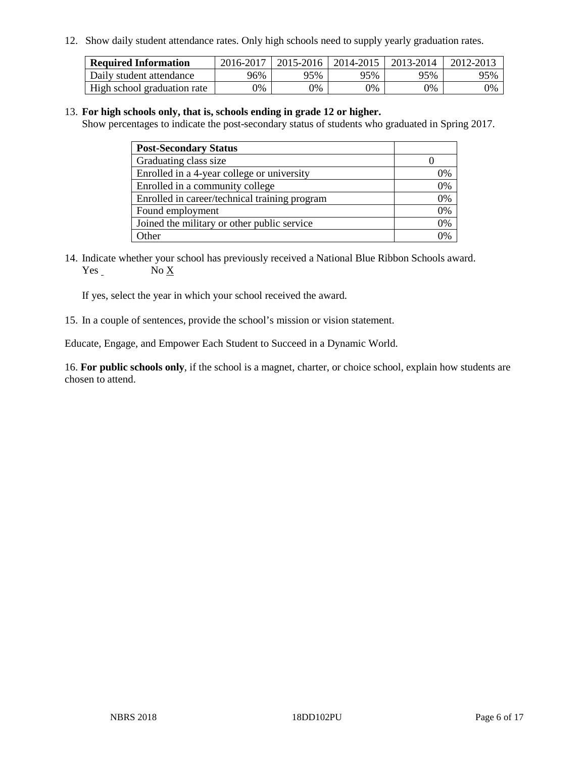12. Show daily student attendance rates. Only high schools need to supply yearly graduation rates.

| <b>Required Information</b> | 2016-2017 | 2015-2016 1 | 2014-2015 | 2013-2014 | 2012-2013 |
|-----------------------------|-----------|-------------|-----------|-----------|-----------|
| Daily student attendance    | 96%       | 95%         | 95%       | 95%       | 95%       |
| High school graduation rate | 0%        | 0%          | 0%        | 9%        | 0%        |

#### 13. **For high schools only, that is, schools ending in grade 12 or higher.**

Show percentages to indicate the post-secondary status of students who graduated in Spring 2017.

| <b>Post-Secondary Status</b>                  |              |
|-----------------------------------------------|--------------|
| Graduating class size                         |              |
| Enrolled in a 4-year college or university    | 0%           |
| Enrolled in a community college               | 0%           |
| Enrolled in career/technical training program | 0%           |
| Found employment                              | 0%           |
| Joined the military or other public service   | 0%           |
| Other                                         | $\gamma_{0}$ |

14. Indicate whether your school has previously received a National Blue Ribbon Schools award. Yes No X

If yes, select the year in which your school received the award.

15. In a couple of sentences, provide the school's mission or vision statement.

Educate, Engage, and Empower Each Student to Succeed in a Dynamic World.

16. **For public schools only**, if the school is a magnet, charter, or choice school, explain how students are chosen to attend.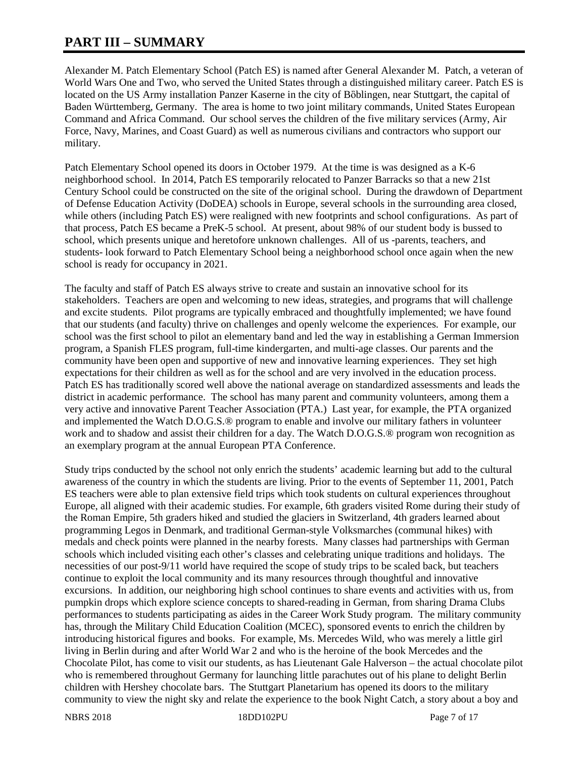# **PART III – SUMMARY**

Alexander M. Patch Elementary School (Patch ES) is named after General Alexander M. Patch, a veteran of World Wars One and Two, who served the United States through a distinguished military career. Patch ES is located on the US Army installation Panzer Kaserne in the city of Bὂblingen, near Stuttgart, the capital of Baden Württemberg, Germany. The area is home to two joint military commands, United States European Command and Africa Command. Our school serves the children of the five military services (Army, Air Force, Navy, Marines, and Coast Guard) as well as numerous civilians and contractors who support our military.

Patch Elementary School opened its doors in October 1979. At the time is was designed as a K-6 neighborhood school. In 2014, Patch ES temporarily relocated to Panzer Barracks so that a new 21st Century School could be constructed on the site of the original school. During the drawdown of Department of Defense Education Activity (DoDEA) schools in Europe, several schools in the surrounding area closed, while others (including Patch ES) were realigned with new footprints and school configurations. As part of that process, Patch ES became a PreK-5 school. At present, about 98% of our student body is bussed to school, which presents unique and heretofore unknown challenges. All of us -parents, teachers, and students- look forward to Patch Elementary School being a neighborhood school once again when the new school is ready for occupancy in 2021.

The faculty and staff of Patch ES always strive to create and sustain an innovative school for its stakeholders. Teachers are open and welcoming to new ideas, strategies, and programs that will challenge and excite students. Pilot programs are typically embraced and thoughtfully implemented; we have found that our students (and faculty) thrive on challenges and openly welcome the experiences. For example, our school was the first school to pilot an elementary band and led the way in establishing a German Immersion program, a Spanish FLES program, full-time kindergarten, and multi-age classes. Our parents and the community have been open and supportive of new and innovative learning experiences. They set high expectations for their children as well as for the school and are very involved in the education process. Patch ES has traditionally scored well above the national average on standardized assessments and leads the district in academic performance. The school has many parent and community volunteers, among them a very active and innovative Parent Teacher Association (PTA.) Last year, for example, the PTA organized and implemented the Watch D.O.G.S.® program to enable and involve our military fathers in volunteer work and to shadow and assist their children for a day. The Watch D.O.G.S.<sup>®</sup> program won recognition as an exemplary program at the annual European PTA Conference.

Study trips conducted by the school not only enrich the students' academic learning but add to the cultural awareness of the country in which the students are living. Prior to the events of September 11, 2001, Patch ES teachers were able to plan extensive field trips which took students on cultural experiences throughout Europe, all aligned with their academic studies. For example, 6th graders visited Rome during their study of the Roman Empire, 5th graders hiked and studied the glaciers in Switzerland, 4th graders learned about programming Legos in Denmark, and traditional German-style Volksmarches (communal hikes) with medals and check points were planned in the nearby forests. Many classes had partnerships with German schools which included visiting each other's classes and celebrating unique traditions and holidays. The necessities of our post-9/11 world have required the scope of study trips to be scaled back, but teachers continue to exploit the local community and its many resources through thoughtful and innovative excursions. In addition, our neighboring high school continues to share events and activities with us, from pumpkin drops which explore science concepts to shared-reading in German, from sharing Drama Clubs performances to students participating as aides in the Career Work Study program. The military community has, through the Military Child Education Coalition (MCEC), sponsored events to enrich the children by introducing historical figures and books. For example, Ms. Mercedes Wild, who was merely a little girl living in Berlin during and after World War 2 and who is the heroine of the book Mercedes and the Chocolate Pilot, has come to visit our students, as has Lieutenant Gale Halverson – the actual chocolate pilot who is remembered throughout Germany for launching little parachutes out of his plane to delight Berlin children with Hershey chocolate bars. The Stuttgart Planetarium has opened its doors to the military community to view the night sky and relate the experience to the book Night Catch, a story about a boy and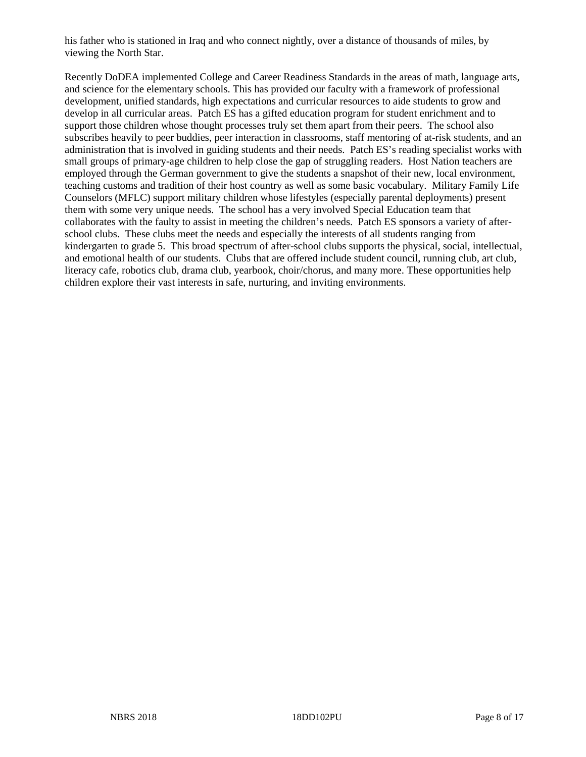his father who is stationed in Iraq and who connect nightly, over a distance of thousands of miles, by viewing the North Star.

Recently DoDEA implemented College and Career Readiness Standards in the areas of math, language arts, and science for the elementary schools. This has provided our faculty with a framework of professional development, unified standards, high expectations and curricular resources to aide students to grow and develop in all curricular areas. Patch ES has a gifted education program for student enrichment and to support those children whose thought processes truly set them apart from their peers. The school also subscribes heavily to peer buddies, peer interaction in classrooms, staff mentoring of at-risk students, and an administration that is involved in guiding students and their needs. Patch ES's reading specialist works with small groups of primary-age children to help close the gap of struggling readers. Host Nation teachers are employed through the German government to give the students a snapshot of their new, local environment, teaching customs and tradition of their host country as well as some basic vocabulary. Military Family Life Counselors (MFLC) support military children whose lifestyles (especially parental deployments) present them with some very unique needs. The school has a very involved Special Education team that collaborates with the faulty to assist in meeting the children's needs. Patch ES sponsors a variety of afterschool clubs. These clubs meet the needs and especially the interests of all students ranging from kindergarten to grade 5. This broad spectrum of after-school clubs supports the physical, social, intellectual, and emotional health of our students. Clubs that are offered include student council, running club, art club, literacy cafe, robotics club, drama club, yearbook, choir/chorus, and many more. These opportunities help children explore their vast interests in safe, nurturing, and inviting environments.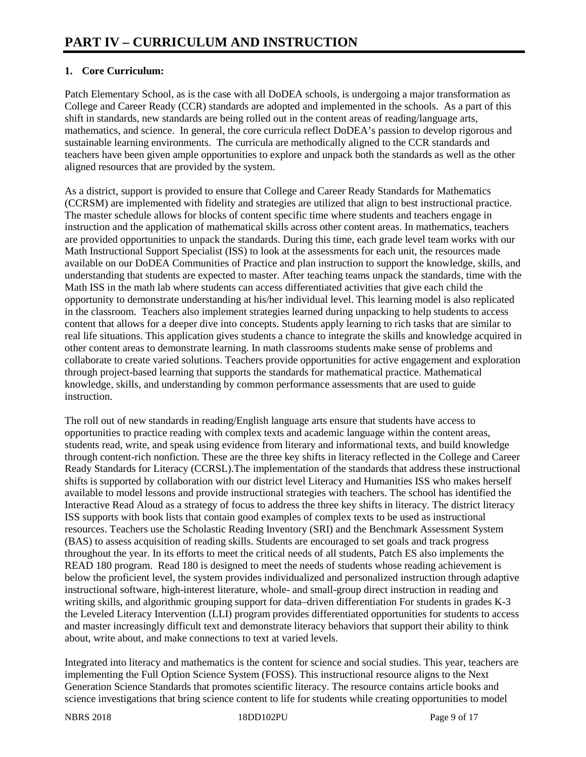# **1. Core Curriculum:**

Patch Elementary School, as is the case with all DoDEA schools, is undergoing a major transformation as College and Career Ready (CCR) standards are adopted and implemented in the schools. As a part of this shift in standards, new standards are being rolled out in the content areas of reading/language arts, mathematics, and science. In general, the core curricula reflect DoDEA's passion to develop rigorous and sustainable learning environments. The curricula are methodically aligned to the CCR standards and teachers have been given ample opportunities to explore and unpack both the standards as well as the other aligned resources that are provided by the system.

As a district, support is provided to ensure that College and Career Ready Standards for Mathematics (CCRSM) are implemented with fidelity and strategies are utilized that align to best instructional practice. The master schedule allows for blocks of content specific time where students and teachers engage in instruction and the application of mathematical skills across other content areas. In mathematics, teachers are provided opportunities to unpack the standards. During this time, each grade level team works with our Math Instructional Support Specialist (ISS) to look at the assessments for each unit, the resources made available on our DoDEA Communities of Practice and plan instruction to support the knowledge, skills, and understanding that students are expected to master. After teaching teams unpack the standards, time with the Math ISS in the math lab where students can access differentiated activities that give each child the opportunity to demonstrate understanding at his/her individual level. This learning model is also replicated in the classroom. Teachers also implement strategies learned during unpacking to help students to access content that allows for a deeper dive into concepts. Students apply learning to rich tasks that are similar to real life situations. This application gives students a chance to integrate the skills and knowledge acquired in other content areas to demonstrate learning. In math classrooms students make sense of problems and collaborate to create varied solutions. Teachers provide opportunities for active engagement and exploration through project-based learning that supports the standards for mathematical practice. Mathematical knowledge, skills, and understanding by common performance assessments that are used to guide instruction.

The roll out of new standards in reading/English language arts ensure that students have access to opportunities to practice reading with complex texts and academic language within the content areas, students read, write, and speak using evidence from literary and informational texts, and build knowledge through content-rich nonfiction. These are the three key shifts in literacy reflected in the College and Career Ready Standards for Literacy (CCRSL).The implementation of the standards that address these instructional shifts is supported by collaboration with our district level Literacy and Humanities ISS who makes herself available to model lessons and provide instructional strategies with teachers. The school has identified the Interactive Read Aloud as a strategy of focus to address the three key shifts in literacy. The district literacy ISS supports with book lists that contain good examples of complex texts to be used as instructional resources. Teachers use the Scholastic Reading Inventory (SRI) and the Benchmark Assessment System (BAS) to assess acquisition of reading skills. Students are encouraged to set goals and track progress throughout the year. In its efforts to meet the critical needs of all students, Patch ES also implements the READ 180 program. Read 180 is designed to meet the needs of students whose reading achievement is below the proficient level, the system provides individualized and personalized instruction through adaptive instructional software, high-interest literature, whole- and small-group direct instruction in reading and writing skills, and algorithmic grouping support for data–driven differentiation For students in grades K-3 the Leveled Literacy Intervention (LLI) program provides differentiated opportunities for students to access and master increasingly difficult text and demonstrate literacy behaviors that support their ability to think about, write about, and make connections to text at varied levels.

Integrated into literacy and mathematics is the content for science and social studies. This year, teachers are implementing the Full Option Science System (FOSS). This instructional resource aligns to the Next Generation Science Standards that promotes scientific literacy. The resource contains article books and science investigations that bring science content to life for students while creating opportunities to model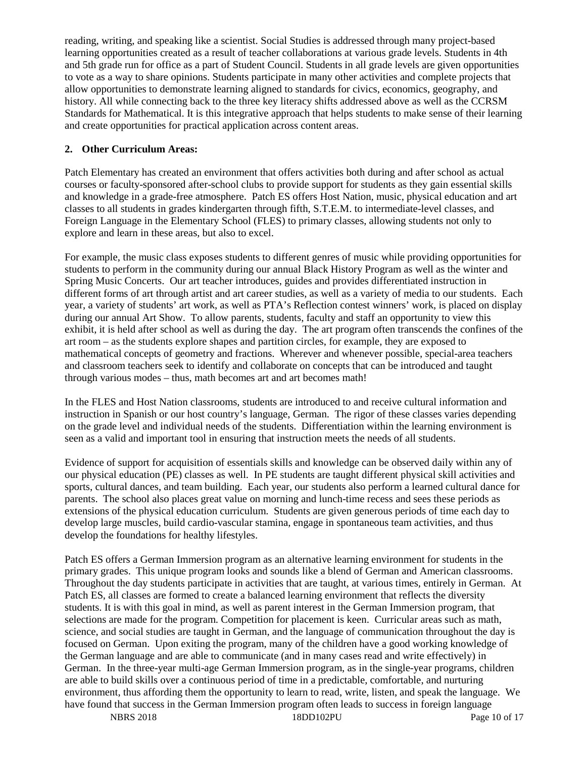reading, writing, and speaking like a scientist. Social Studies is addressed through many project-based learning opportunities created as a result of teacher collaborations at various grade levels. Students in 4th and 5th grade run for office as a part of Student Council. Students in all grade levels are given opportunities to vote as a way to share opinions. Students participate in many other activities and complete projects that allow opportunities to demonstrate learning aligned to standards for civics, economics, geography, and history. All while connecting back to the three key literacy shifts addressed above as well as the CCRSM Standards for Mathematical. It is this integrative approach that helps students to make sense of their learning and create opportunities for practical application across content areas.

# **2. Other Curriculum Areas:**

Patch Elementary has created an environment that offers activities both during and after school as actual courses or faculty-sponsored after-school clubs to provide support for students as they gain essential skills and knowledge in a grade-free atmosphere. Patch ES offers Host Nation, music, physical education and art classes to all students in grades kindergarten through fifth, S.T.E.M. to intermediate-level classes, and Foreign Language in the Elementary School (FLES) to primary classes, allowing students not only to explore and learn in these areas, but also to excel.

For example, the music class exposes students to different genres of music while providing opportunities for students to perform in the community during our annual Black History Program as well as the winter and Spring Music Concerts. Our art teacher introduces, guides and provides differentiated instruction in different forms of art through artist and art career studies, as well as a variety of media to our students. Each year, a variety of students' art work, as well as PTA's Reflection contest winners' work, is placed on display during our annual Art Show. To allow parents, students, faculty and staff an opportunity to view this exhibit, it is held after school as well as during the day. The art program often transcends the confines of the art room – as the students explore shapes and partition circles, for example, they are exposed to mathematical concepts of geometry and fractions. Wherever and whenever possible, special-area teachers and classroom teachers seek to identify and collaborate on concepts that can be introduced and taught through various modes – thus, math becomes art and art becomes math!

In the FLES and Host Nation classrooms, students are introduced to and receive cultural information and instruction in Spanish or our host country's language, German. The rigor of these classes varies depending on the grade level and individual needs of the students. Differentiation within the learning environment is seen as a valid and important tool in ensuring that instruction meets the needs of all students.

Evidence of support for acquisition of essentials skills and knowledge can be observed daily within any of our physical education (PE) classes as well. In PE students are taught different physical skill activities and sports, cultural dances, and team building. Each year, our students also perform a learned cultural dance for parents. The school also places great value on morning and lunch-time recess and sees these periods as extensions of the physical education curriculum. Students are given generous periods of time each day to develop large muscles, build cardio-vascular stamina, engage in spontaneous team activities, and thus develop the foundations for healthy lifestyles.

Patch ES offers a German Immersion program as an alternative learning environment for students in the primary grades. This unique program looks and sounds like a blend of German and American classrooms. Throughout the day students participate in activities that are taught, at various times, entirely in German. At Patch ES, all classes are formed to create a balanced learning environment that reflects the diversity students. It is with this goal in mind, as well as parent interest in the German Immersion program, that selections are made for the program. Competition for placement is keen. Curricular areas such as math, science, and social studies are taught in German, and the language of communication throughout the day is focused on German. Upon exiting the program, many of the children have a good working knowledge of the German language and are able to communicate (and in many cases read and write effectively) in German. In the three-year multi-age German Immersion program, as in the single-year programs, children are able to build skills over a continuous period of time in a predictable, comfortable, and nurturing environment, thus affording them the opportunity to learn to read, write, listen, and speak the language. We have found that success in the German Immersion program often leads to success in foreign language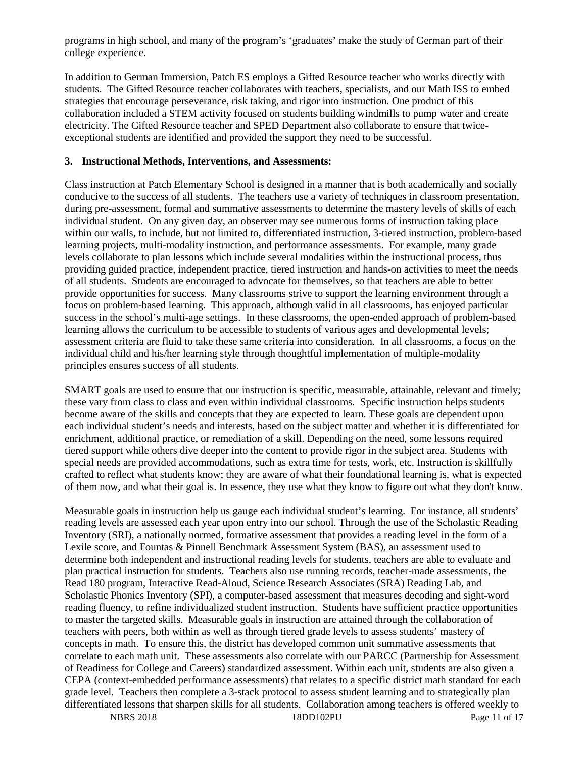programs in high school, and many of the program's 'graduates' make the study of German part of their college experience.

In addition to German Immersion, Patch ES employs a Gifted Resource teacher who works directly with students. The Gifted Resource teacher collaborates with teachers, specialists, and our Math ISS to embed strategies that encourage perseverance, risk taking, and rigor into instruction. One product of this collaboration included a STEM activity focused on students building windmills to pump water and create electricity. The Gifted Resource teacher and SPED Department also collaborate to ensure that twiceexceptional students are identified and provided the support they need to be successful.

#### **3. Instructional Methods, Interventions, and Assessments:**

Class instruction at Patch Elementary School is designed in a manner that is both academically and socially conducive to the success of all students. The teachers use a variety of techniques in classroom presentation, during pre-assessment, formal and summative assessments to determine the mastery levels of skills of each individual student. On any given day, an observer may see numerous forms of instruction taking place within our walls, to include, but not limited to, differentiated instruction, 3-tiered instruction, problem-based learning projects, multi-modality instruction, and performance assessments. For example, many grade levels collaborate to plan lessons which include several modalities within the instructional process, thus providing guided practice, independent practice, tiered instruction and hands-on activities to meet the needs of all students. Students are encouraged to advocate for themselves, so that teachers are able to better provide opportunities for success. Many classrooms strive to support the learning environment through a focus on problem-based learning. This approach, although valid in all classrooms, has enjoyed particular success in the school's multi-age settings. In these classrooms, the open-ended approach of problem-based learning allows the curriculum to be accessible to students of various ages and developmental levels; assessment criteria are fluid to take these same criteria into consideration. In all classrooms, a focus on the individual child and his/her learning style through thoughtful implementation of multiple-modality principles ensures success of all students.

SMART goals are used to ensure that our instruction is specific, measurable, attainable, relevant and timely; these vary from class to class and even within individual classrooms. Specific instruction helps students become aware of the skills and concepts that they are expected to learn. These goals are dependent upon each individual student's needs and interests, based on the subject matter and whether it is differentiated for enrichment, additional practice, or remediation of a skill. Depending on the need, some lessons required tiered support while others dive deeper into the content to provide rigor in the subject area. Students with special needs are provided accommodations, such as extra time for tests, work, etc. Instruction is skillfully crafted to reflect what students know; they are aware of what their foundational learning is, what is expected of them now, and what their goal is. In essence, they use what they know to figure out what they don't know.

Measurable goals in instruction help us gauge each individual student's learning. For instance, all students' reading levels are assessed each year upon entry into our school. Through the use of the Scholastic Reading Inventory (SRI), a nationally normed, formative assessment that provides a reading level in the form of a Lexile score, and Fountas & Pinnell Benchmark Assessment System (BAS), an assessment used to determine both independent and instructional reading levels for students, teachers are able to evaluate and plan practical instruction for students. Teachers also use running records, teacher-made assessments, the Read 180 program, Interactive Read-Aloud, Science Research Associates (SRA) Reading Lab, and Scholastic Phonics Inventory (SPI), a computer-based assessment that measures decoding and sight-word reading fluency, to refine individualized student instruction. Students have sufficient practice opportunities to master the targeted skills. Measurable goals in instruction are attained through the collaboration of teachers with peers, both within as well as through tiered grade levels to assess students' mastery of concepts in math. To ensure this, the district has developed common unit summative assessments that correlate to each math unit. These assessments also correlate with our PARCC (Partnership for Assessment of Readiness for College and Careers) standardized assessment. Within each unit, students are also given a CEPA (context-embedded performance assessments) that relates to a specific district math standard for each grade level. Teachers then complete a 3-stack protocol to assess student learning and to strategically plan differentiated lessons that sharpen skills for all students. Collaboration among teachers is offered weekly to

NBRS 2018 18DD102PU Page 11 of 17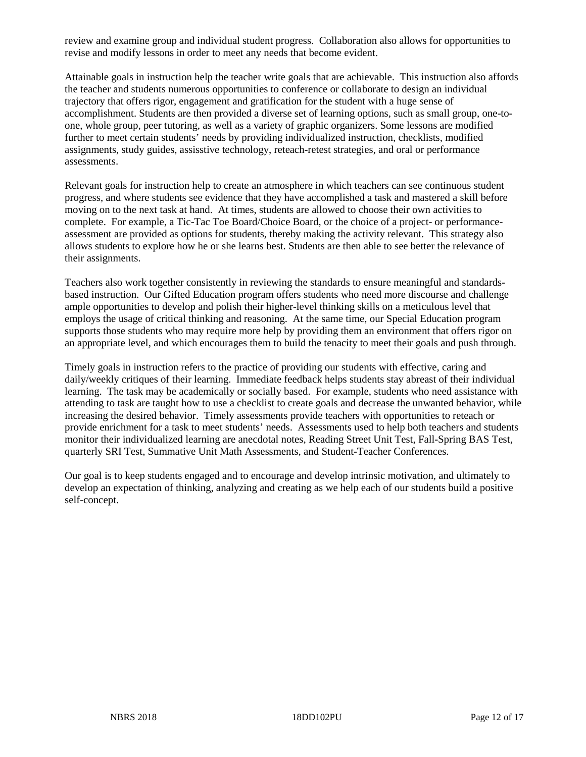review and examine group and individual student progress. Collaboration also allows for opportunities to revise and modify lessons in order to meet any needs that become evident.

Attainable goals in instruction help the teacher write goals that are achievable. This instruction also affords the teacher and students numerous opportunities to conference or collaborate to design an individual trajectory that offers rigor, engagement and gratification for the student with a huge sense of accomplishment. Students are then provided a diverse set of learning options, such as small group, one-toone, whole group, peer tutoring, as well as a variety of graphic organizers. Some lessons are modified further to meet certain students' needs by providing individualized instruction, checklists, modified assignments, study guides, assisstive technology, reteach-retest strategies, and oral or performance assessments.

Relevant goals for instruction help to create an atmosphere in which teachers can see continuous student progress, and where students see evidence that they have accomplished a task and mastered a skill before moving on to the next task at hand. At times, students are allowed to choose their own activities to complete. For example, a Tic-Tac Toe Board/Choice Board, or the choice of a project- or performanceassessment are provided as options for students, thereby making the activity relevant. This strategy also allows students to explore how he or she learns best. Students are then able to see better the relevance of their assignments.

Teachers also work together consistently in reviewing the standards to ensure meaningful and standardsbased instruction. Our Gifted Education program offers students who need more discourse and challenge ample opportunities to develop and polish their higher-level thinking skills on a meticulous level that employs the usage of critical thinking and reasoning. At the same time, our Special Education program supports those students who may require more help by providing them an environment that offers rigor on an appropriate level, and which encourages them to build the tenacity to meet their goals and push through.

Timely goals in instruction refers to the practice of providing our students with effective, caring and daily/weekly critiques of their learning. Immediate feedback helps students stay abreast of their individual learning. The task may be academically or socially based. For example, students who need assistance with attending to task are taught how to use a checklist to create goals and decrease the unwanted behavior, while increasing the desired behavior. Timely assessments provide teachers with opportunities to reteach or provide enrichment for a task to meet students' needs. Assessments used to help both teachers and students monitor their individualized learning are anecdotal notes, Reading Street Unit Test, Fall-Spring BAS Test, quarterly SRI Test, Summative Unit Math Assessments, and Student-Teacher Conferences.

Our goal is to keep students engaged and to encourage and develop intrinsic motivation, and ultimately to develop an expectation of thinking, analyzing and creating as we help each of our students build a positive self-concept.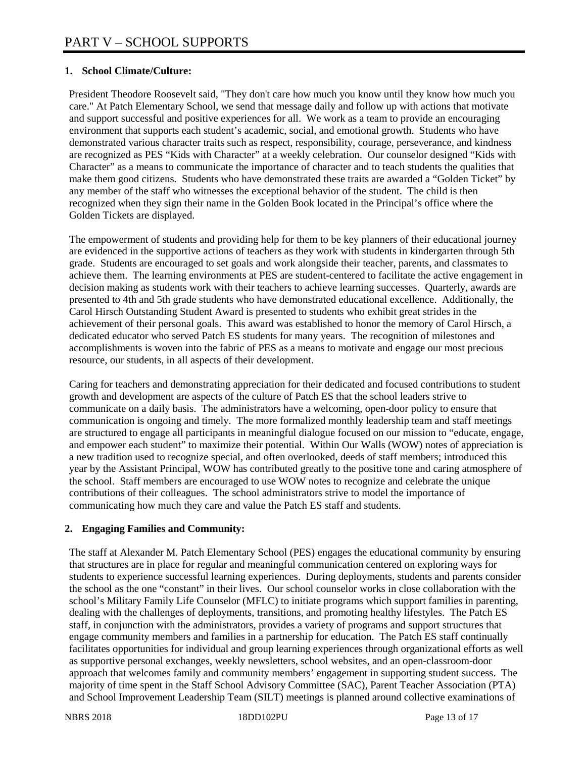# **1. School Climate/Culture:**

President Theodore Roosevelt said, "They don't care how much you know until they know how much you care." At Patch Elementary School, we send that message daily and follow up with actions that motivate and support successful and positive experiences for all. We work as a team to provide an encouraging environment that supports each student's academic, social, and emotional growth. Students who have demonstrated various character traits such as respect, responsibility, courage, perseverance, and kindness are recognized as PES "Kids with Character" at a weekly celebration. Our counselor designed "Kids with Character" as a means to communicate the importance of character and to teach students the qualities that make them good citizens. Students who have demonstrated these traits are awarded a "Golden Ticket" by any member of the staff who witnesses the exceptional behavior of the student. The child is then recognized when they sign their name in the Golden Book located in the Principal's office where the Golden Tickets are displayed.

The empowerment of students and providing help for them to be key planners of their educational journey are evidenced in the supportive actions of teachers as they work with students in kindergarten through 5th grade. Students are encouraged to set goals and work alongside their teacher, parents, and classmates to achieve them. The learning environments at PES are student-centered to facilitate the active engagement in decision making as students work with their teachers to achieve learning successes. Quarterly, awards are presented to 4th and 5th grade students who have demonstrated educational excellence. Additionally, the Carol Hirsch Outstanding Student Award is presented to students who exhibit great strides in the achievement of their personal goals. This award was established to honor the memory of Carol Hirsch, a dedicated educator who served Patch ES students for many years. The recognition of milestones and accomplishments is woven into the fabric of PES as a means to motivate and engage our most precious resource, our students, in all aspects of their development.

Caring for teachers and demonstrating appreciation for their dedicated and focused contributions to student growth and development are aspects of the culture of Patch ES that the school leaders strive to communicate on a daily basis. The administrators have a welcoming, open-door policy to ensure that communication is ongoing and timely. The more formalized monthly leadership team and staff meetings are structured to engage all participants in meaningful dialogue focused on our mission to "educate, engage, and empower each student" to maximize their potential. Within Our Walls (WOW) notes of appreciation is a new tradition used to recognize special, and often overlooked, deeds of staff members; introduced this year by the Assistant Principal, WOW has contributed greatly to the positive tone and caring atmosphere of the school. Staff members are encouraged to use WOW notes to recognize and celebrate the unique contributions of their colleagues. The school administrators strive to model the importance of communicating how much they care and value the Patch ES staff and students.

# **2. Engaging Families and Community:**

The staff at Alexander M. Patch Elementary School (PES) engages the educational community by ensuring that structures are in place for regular and meaningful communication centered on exploring ways for students to experience successful learning experiences. During deployments, students and parents consider the school as the one "constant" in their lives. Our school counselor works in close collaboration with the school's Military Family Life Counselor (MFLC) to initiate programs which support families in parenting, dealing with the challenges of deployments, transitions, and promoting healthy lifestyles. The Patch ES staff, in conjunction with the administrators, provides a variety of programs and support structures that engage community members and families in a partnership for education. The Patch ES staff continually facilitates opportunities for individual and group learning experiences through organizational efforts as well as supportive personal exchanges, weekly newsletters, school websites, and an open-classroom-door approach that welcomes family and community members' engagement in supporting student success. The majority of time spent in the Staff School Advisory Committee (SAC), Parent Teacher Association (PTA) and School Improvement Leadership Team (SILT) meetings is planned around collective examinations of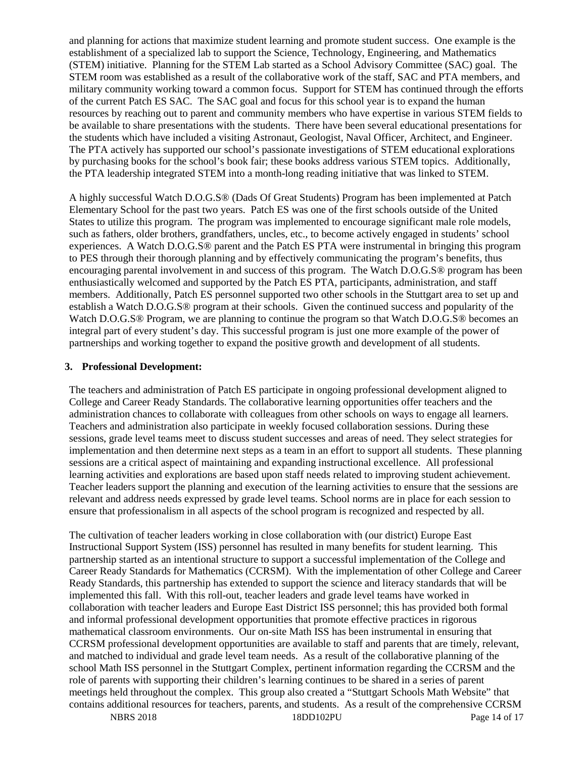and planning for actions that maximize student learning and promote student success. One example is the establishment of a specialized lab to support the Science, Technology, Engineering, and Mathematics (STEM) initiative. Planning for the STEM Lab started as a School Advisory Committee (SAC) goal. The STEM room was established as a result of the collaborative work of the staff, SAC and PTA members, and military community working toward a common focus. Support for STEM has continued through the efforts of the current Patch ES SAC. The SAC goal and focus for this school year is to expand the human resources by reaching out to parent and community members who have expertise in various STEM fields to be available to share presentations with the students. There have been several educational presentations for the students which have included a visiting Astronaut, Geologist, Naval Officer, Architect, and Engineer. The PTA actively has supported our school's passionate investigations of STEM educational explorations by purchasing books for the school's book fair; these books address various STEM topics. Additionally, the PTA leadership integrated STEM into a month-long reading initiative that was linked to STEM.

A highly successful Watch D.O.G.S® (Dads Of Great Students) Program has been implemented at Patch Elementary School for the past two years. Patch ES was one of the first schools outside of the United States to utilize this program. The program was implemented to encourage significant male role models, such as fathers, older brothers, grandfathers, uncles, etc., to become actively engaged in students' school experiences. A Watch D.O.G.S® parent and the Patch ES PTA were instrumental in bringing this program to PES through their thorough planning and by effectively communicating the program's benefits, thus encouraging parental involvement in and success of this program. The Watch D.O.G.S® program has been enthusiastically welcomed and supported by the Patch ES PTA, participants, administration, and staff members. Additionally, Patch ES personnel supported two other schools in the Stuttgart area to set up and establish a Watch D.O.G.S® program at their schools. Given the continued success and popularity of the Watch D.O.G.S® Program, we are planning to continue the program so that Watch D.O.G.S® becomes an integral part of every student's day. This successful program is just one more example of the power of partnerships and working together to expand the positive growth and development of all students.

#### **3. Professional Development:**

The teachers and administration of Patch ES participate in ongoing professional development aligned to College and Career Ready Standards. The collaborative learning opportunities offer teachers and the administration chances to collaborate with colleagues from other schools on ways to engage all learners. Teachers and administration also participate in weekly focused collaboration sessions. During these sessions, grade level teams meet to discuss student successes and areas of need. They select strategies for implementation and then determine next steps as a team in an effort to support all students. These planning sessions are a critical aspect of maintaining and expanding instructional excellence. All professional learning activities and explorations are based upon staff needs related to improving student achievement. Teacher leaders support the planning and execution of the learning activities to ensure that the sessions are relevant and address needs expressed by grade level teams. School norms are in place for each session to ensure that professionalism in all aspects of the school program is recognized and respected by all.

The cultivation of teacher leaders working in close collaboration with (our district) Europe East Instructional Support System (ISS) personnel has resulted in many benefits for student learning. This partnership started as an intentional structure to support a successful implementation of the College and Career Ready Standards for Mathematics (CCRSM). With the implementation of other College and Career Ready Standards, this partnership has extended to support the science and literacy standards that will be implemented this fall. With this roll-out, teacher leaders and grade level teams have worked in collaboration with teacher leaders and Europe East District ISS personnel; this has provided both formal and informal professional development opportunities that promote effective practices in rigorous mathematical classroom environments. Our on-site Math ISS has been instrumental in ensuring that CCRSM professional development opportunities are available to staff and parents that are timely, relevant, and matched to individual and grade level team needs. As a result of the collaborative planning of the school Math ISS personnel in the Stuttgart Complex, pertinent information regarding the CCRSM and the role of parents with supporting their children's learning continues to be shared in a series of parent meetings held throughout the complex. This group also created a "Stuttgart Schools Math Website" that contains additional resources for teachers, parents, and students. As a result of the comprehensive CCRSM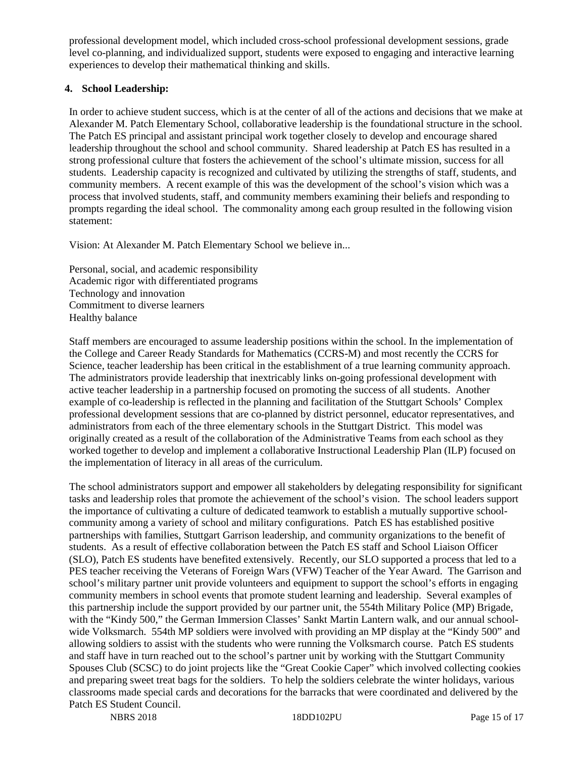professional development model, which included cross-school professional development sessions, grade level co-planning, and individualized support, students were exposed to engaging and interactive learning experiences to develop their mathematical thinking and skills.

### **4. School Leadership:**

In order to achieve student success, which is at the center of all of the actions and decisions that we make at Alexander M. Patch Elementary School, collaborative leadership is the foundational structure in the school. The Patch ES principal and assistant principal work together closely to develop and encourage shared leadership throughout the school and school community. Shared leadership at Patch ES has resulted in a strong professional culture that fosters the achievement of the school's ultimate mission, success for all students. Leadership capacity is recognized and cultivated by utilizing the strengths of staff, students, and community members. A recent example of this was the development of the school's vision which was a process that involved students, staff, and community members examining their beliefs and responding to prompts regarding the ideal school. The commonality among each group resulted in the following vision statement:

Vision: At Alexander M. Patch Elementary School we believe in...

Personal, social, and academic responsibility Academic rigor with differentiated programs Technology and innovation Commitment to diverse learners Healthy balance

Staff members are encouraged to assume leadership positions within the school. In the implementation of the College and Career Ready Standards for Mathematics (CCRS-M) and most recently the CCRS for Science, teacher leadership has been critical in the establishment of a true learning community approach. The administrators provide leadership that inextricably links on-going professional development with active teacher leadership in a partnership focused on promoting the success of all students. Another example of co-leadership is reflected in the planning and facilitation of the Stuttgart Schools' Complex professional development sessions that are co-planned by district personnel, educator representatives, and administrators from each of the three elementary schools in the Stuttgart District. This model was originally created as a result of the collaboration of the Administrative Teams from each school as they worked together to develop and implement a collaborative Instructional Leadership Plan (ILP) focused on the implementation of literacy in all areas of the curriculum.

The school administrators support and empower all stakeholders by delegating responsibility for significant tasks and leadership roles that promote the achievement of the school's vision. The school leaders support the importance of cultivating a culture of dedicated teamwork to establish a mutually supportive schoolcommunity among a variety of school and military configurations. Patch ES has established positive partnerships with families, Stuttgart Garrison leadership, and community organizations to the benefit of students. As a result of effective collaboration between the Patch ES staff and School Liaison Officer (SLO), Patch ES students have benefited extensively. Recently, our SLO supported a process that led to a PES teacher receiving the Veterans of Foreign Wars (VFW) Teacher of the Year Award. The Garrison and school's military partner unit provide volunteers and equipment to support the school's efforts in engaging community members in school events that promote student learning and leadership. Several examples of this partnership include the support provided by our partner unit, the 554th Military Police (MP) Brigade, with the "Kindy 500," the German Immersion Classes' Sankt Martin Lantern walk, and our annual schoolwide Volksmarch. 554th MP soldiers were involved with providing an MP display at the "Kindy 500" and allowing soldiers to assist with the students who were running the Volksmarch course. Patch ES students and staff have in turn reached out to the school's partner unit by working with the Stuttgart Community Spouses Club (SCSC) to do joint projects like the "Great Cookie Caper" which involved collecting cookies and preparing sweet treat bags for the soldiers. To help the soldiers celebrate the winter holidays, various classrooms made special cards and decorations for the barracks that were coordinated and delivered by the Patch ES Student Council.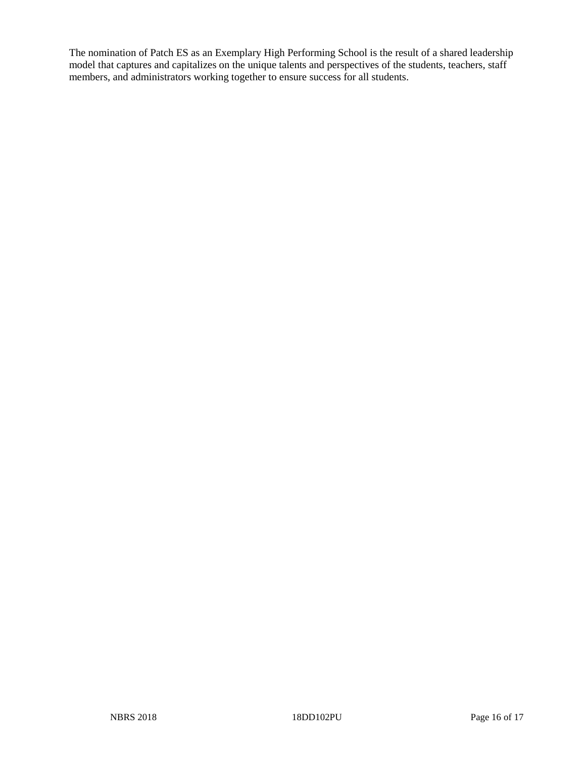The nomination of Patch ES as an Exemplary High Performing School is the result of a shared leadership model that captures and capitalizes on the unique talents and perspectives of the students, teachers, staff members, and administrators working together to ensure success for all students.